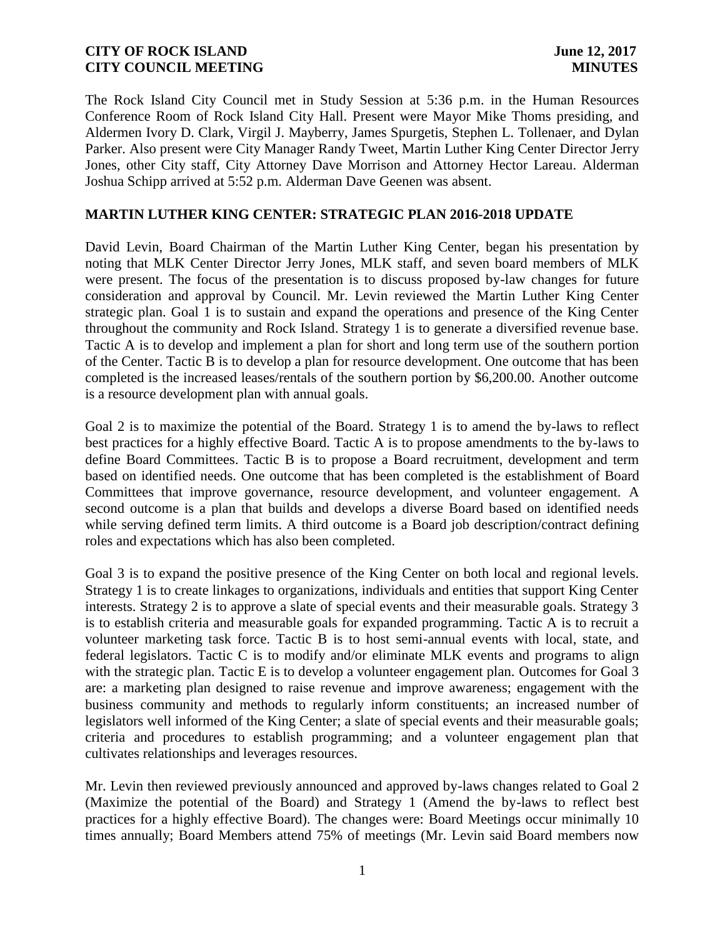The Rock Island City Council met in Study Session at 5:36 p.m. in the Human Resources Conference Room of Rock Island City Hall. Present were Mayor Mike Thoms presiding, and Aldermen Ivory D. Clark, Virgil J. Mayberry, James Spurgetis, Stephen L. Tollenaer, and Dylan Parker. Also present were City Manager Randy Tweet, Martin Luther King Center Director Jerry Jones, other City staff, City Attorney Dave Morrison and Attorney Hector Lareau. Alderman Joshua Schipp arrived at 5:52 p.m. Alderman Dave Geenen was absent.

### **MARTIN LUTHER KING CENTER: STRATEGIC PLAN 2016-2018 UPDATE**

David Levin, Board Chairman of the Martin Luther King Center, began his presentation by noting that MLK Center Director Jerry Jones, MLK staff, and seven board members of MLK were present. The focus of the presentation is to discuss proposed by-law changes for future consideration and approval by Council. Mr. Levin reviewed the Martin Luther King Center strategic plan. Goal 1 is to sustain and expand the operations and presence of the King Center throughout the community and Rock Island. Strategy 1 is to generate a diversified revenue base. Tactic A is to develop and implement a plan for short and long term use of the southern portion of the Center. Tactic B is to develop a plan for resource development. One outcome that has been completed is the increased leases/rentals of the southern portion by \$6,200.00. Another outcome is a resource development plan with annual goals.

Goal 2 is to maximize the potential of the Board. Strategy 1 is to amend the by-laws to reflect best practices for a highly effective Board. Tactic A is to propose amendments to the by-laws to define Board Committees. Tactic B is to propose a Board recruitment, development and term based on identified needs. One outcome that has been completed is the establishment of Board Committees that improve governance, resource development, and volunteer engagement. A second outcome is a plan that builds and develops a diverse Board based on identified needs while serving defined term limits. A third outcome is a Board job description/contract defining roles and expectations which has also been completed.

Goal 3 is to expand the positive presence of the King Center on both local and regional levels. Strategy 1 is to create linkages to organizations, individuals and entities that support King Center interests. Strategy 2 is to approve a slate of special events and their measurable goals. Strategy 3 is to establish criteria and measurable goals for expanded programming. Tactic A is to recruit a volunteer marketing task force. Tactic B is to host semi-annual events with local, state, and federal legislators. Tactic C is to modify and/or eliminate MLK events and programs to align with the strategic plan. Tactic E is to develop a volunteer engagement plan. Outcomes for Goal 3 are: a marketing plan designed to raise revenue and improve awareness; engagement with the business community and methods to regularly inform constituents; an increased number of legislators well informed of the King Center; a slate of special events and their measurable goals; criteria and procedures to establish programming; and a volunteer engagement plan that cultivates relationships and leverages resources.

Mr. Levin then reviewed previously announced and approved by-laws changes related to Goal 2 (Maximize the potential of the Board) and Strategy 1 (Amend the by-laws to reflect best practices for a highly effective Board). The changes were: Board Meetings occur minimally 10 times annually; Board Members attend 75% of meetings (Mr. Levin said Board members now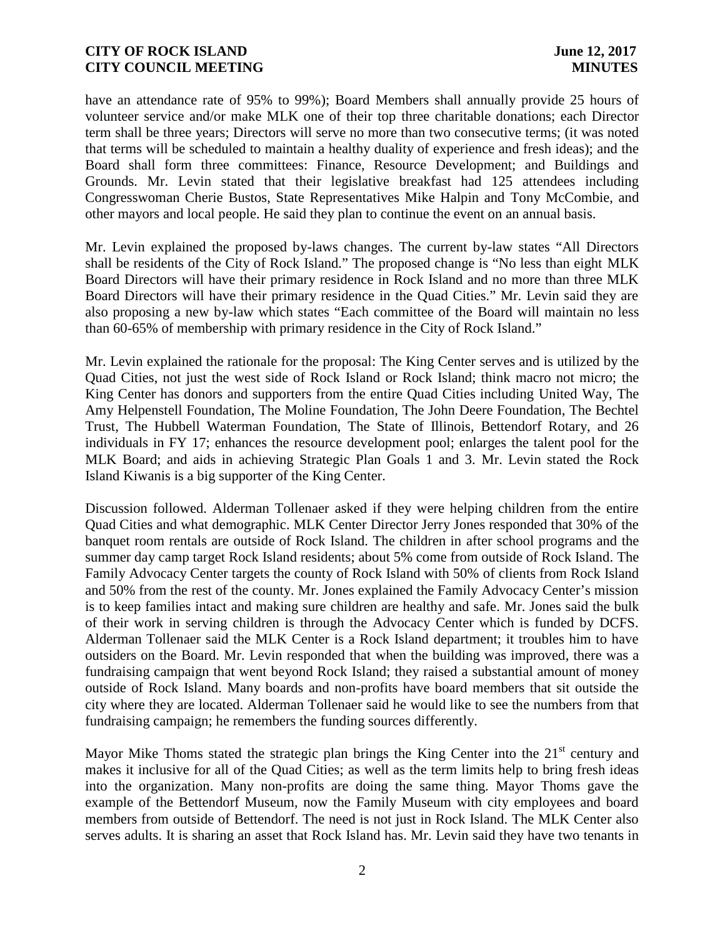have an attendance rate of 95% to 99%); Board Members shall annually provide 25 hours of volunteer service and/or make MLK one of their top three charitable donations; each Director term shall be three years; Directors will serve no more than two consecutive terms; (it was noted that terms will be scheduled to maintain a healthy duality of experience and fresh ideas); and the Board shall form three committees: Finance, Resource Development; and Buildings and Grounds. Mr. Levin stated that their legislative breakfast had 125 attendees including Congresswoman Cherie Bustos, State Representatives Mike Halpin and Tony McCombie, and other mayors and local people. He said they plan to continue the event on an annual basis.

Mr. Levin explained the proposed by-laws changes. The current by-law states "All Directors shall be residents of the City of Rock Island." The proposed change is "No less than eight MLK Board Directors will have their primary residence in Rock Island and no more than three MLK Board Directors will have their primary residence in the Quad Cities." Mr. Levin said they are also proposing a new by-law which states "Each committee of the Board will maintain no less than 60-65% of membership with primary residence in the City of Rock Island."

Mr. Levin explained the rationale for the proposal: The King Center serves and is utilized by the Quad Cities, not just the west side of Rock Island or Rock Island; think macro not micro; the King Center has donors and supporters from the entire Quad Cities including United Way, The Amy Helpenstell Foundation, The Moline Foundation, The John Deere Foundation, The Bechtel Trust, The Hubbell Waterman Foundation, The State of Illinois, Bettendorf Rotary, and 26 individuals in FY 17; enhances the resource development pool; enlarges the talent pool for the MLK Board; and aids in achieving Strategic Plan Goals 1 and 3. Mr. Levin stated the Rock Island Kiwanis is a big supporter of the King Center.

Discussion followed. Alderman Tollenaer asked if they were helping children from the entire Quad Cities and what demographic. MLK Center Director Jerry Jones responded that 30% of the banquet room rentals are outside of Rock Island. The children in after school programs and the summer day camp target Rock Island residents; about 5% come from outside of Rock Island. The Family Advocacy Center targets the county of Rock Island with 50% of clients from Rock Island and 50% from the rest of the county. Mr. Jones explained the Family Advocacy Center's mission is to keep families intact and making sure children are healthy and safe. Mr. Jones said the bulk of their work in serving children is through the Advocacy Center which is funded by DCFS. Alderman Tollenaer said the MLK Center is a Rock Island department; it troubles him to have outsiders on the Board. Mr. Levin responded that when the building was improved, there was a fundraising campaign that went beyond Rock Island; they raised a substantial amount of money outside of Rock Island. Many boards and non-profits have board members that sit outside the city where they are located. Alderman Tollenaer said he would like to see the numbers from that fundraising campaign; he remembers the funding sources differently.

Mayor Mike Thoms stated the strategic plan brings the King Center into the  $21<sup>st</sup>$  century and makes it inclusive for all of the Quad Cities; as well as the term limits help to bring fresh ideas into the organization. Many non-profits are doing the same thing. Mayor Thoms gave the example of the Bettendorf Museum, now the Family Museum with city employees and board members from outside of Bettendorf. The need is not just in Rock Island. The MLK Center also serves adults. It is sharing an asset that Rock Island has. Mr. Levin said they have two tenants in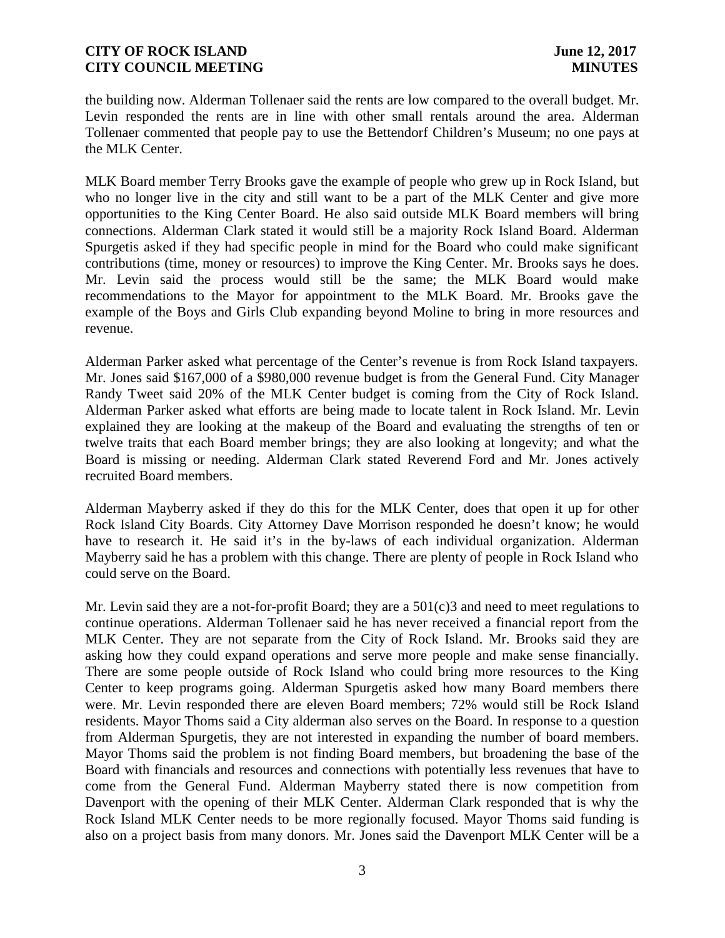the building now. Alderman Tollenaer said the rents are low compared to the overall budget. Mr. Levin responded the rents are in line with other small rentals around the area. Alderman Tollenaer commented that people pay to use the Bettendorf Children's Museum; no one pays at the MLK Center.

MLK Board member Terry Brooks gave the example of people who grew up in Rock Island, but who no longer live in the city and still want to be a part of the MLK Center and give more opportunities to the King Center Board. He also said outside MLK Board members will bring connections. Alderman Clark stated it would still be a majority Rock Island Board. Alderman Spurgetis asked if they had specific people in mind for the Board who could make significant contributions (time, money or resources) to improve the King Center. Mr. Brooks says he does. Mr. Levin said the process would still be the same; the MLK Board would make recommendations to the Mayor for appointment to the MLK Board. Mr. Brooks gave the example of the Boys and Girls Club expanding beyond Moline to bring in more resources and revenue.

Alderman Parker asked what percentage of the Center's revenue is from Rock Island taxpayers. Mr. Jones said \$167,000 of a \$980,000 revenue budget is from the General Fund. City Manager Randy Tweet said 20% of the MLK Center budget is coming from the City of Rock Island. Alderman Parker asked what efforts are being made to locate talent in Rock Island. Mr. Levin explained they are looking at the makeup of the Board and evaluating the strengths of ten or twelve traits that each Board member brings; they are also looking at longevity; and what the Board is missing or needing. Alderman Clark stated Reverend Ford and Mr. Jones actively recruited Board members.

Alderman Mayberry asked if they do this for the MLK Center, does that open it up for other Rock Island City Boards. City Attorney Dave Morrison responded he doesn't know; he would have to research it. He said it's in the by-laws of each individual organization. Alderman Mayberry said he has a problem with this change. There are plenty of people in Rock Island who could serve on the Board.

Mr. Levin said they are a not-for-profit Board; they are a 501(c)3 and need to meet regulations to continue operations. Alderman Tollenaer said he has never received a financial report from the MLK Center. They are not separate from the City of Rock Island. Mr. Brooks said they are asking how they could expand operations and serve more people and make sense financially. There are some people outside of Rock Island who could bring more resources to the King Center to keep programs going. Alderman Spurgetis asked how many Board members there were. Mr. Levin responded there are eleven Board members; 72% would still be Rock Island residents. Mayor Thoms said a City alderman also serves on the Board. In response to a question from Alderman Spurgetis, they are not interested in expanding the number of board members. Mayor Thoms said the problem is not finding Board members, but broadening the base of the Board with financials and resources and connections with potentially less revenues that have to come from the General Fund. Alderman Mayberry stated there is now competition from Davenport with the opening of their MLK Center. Alderman Clark responded that is why the Rock Island MLK Center needs to be more regionally focused. Mayor Thoms said funding is also on a project basis from many donors. Mr. Jones said the Davenport MLK Center will be a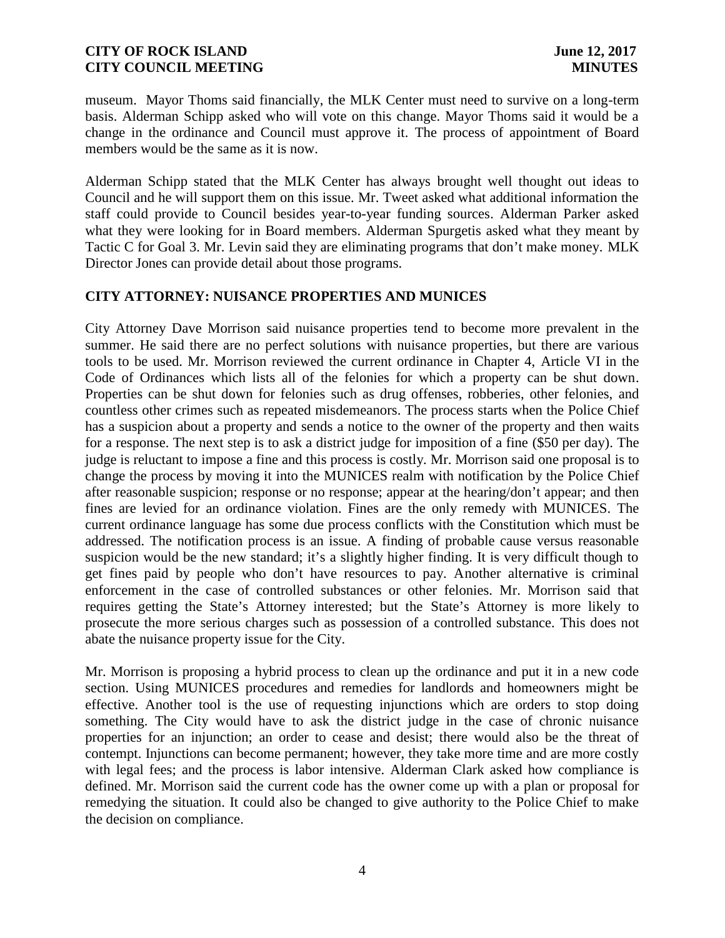museum. Mayor Thoms said financially, the MLK Center must need to survive on a long-term basis. Alderman Schipp asked who will vote on this change. Mayor Thoms said it would be a change in the ordinance and Council must approve it. The process of appointment of Board members would be the same as it is now.

Alderman Schipp stated that the MLK Center has always brought well thought out ideas to Council and he will support them on this issue. Mr. Tweet asked what additional information the staff could provide to Council besides year-to-year funding sources. Alderman Parker asked what they were looking for in Board members. Alderman Spurgetis asked what they meant by Tactic C for Goal 3. Mr. Levin said they are eliminating programs that don't make money. MLK Director Jones can provide detail about those programs.

# **CITY ATTORNEY: NUISANCE PROPERTIES AND MUNICES**

City Attorney Dave Morrison said nuisance properties tend to become more prevalent in the summer. He said there are no perfect solutions with nuisance properties, but there are various tools to be used. Mr. Morrison reviewed the current ordinance in Chapter 4, Article VI in the Code of Ordinances which lists all of the felonies for which a property can be shut down. Properties can be shut down for felonies such as drug offenses, robberies, other felonies, and countless other crimes such as repeated misdemeanors. The process starts when the Police Chief has a suspicion about a property and sends a notice to the owner of the property and then waits for a response. The next step is to ask a district judge for imposition of a fine (\$50 per day). The judge is reluctant to impose a fine and this process is costly. Mr. Morrison said one proposal is to change the process by moving it into the MUNICES realm with notification by the Police Chief after reasonable suspicion; response or no response; appear at the hearing/don't appear; and then fines are levied for an ordinance violation. Fines are the only remedy with MUNICES. The current ordinance language has some due process conflicts with the Constitution which must be addressed. The notification process is an issue. A finding of probable cause versus reasonable suspicion would be the new standard; it's a slightly higher finding. It is very difficult though to get fines paid by people who don't have resources to pay. Another alternative is criminal enforcement in the case of controlled substances or other felonies. Mr. Morrison said that requires getting the State's Attorney interested; but the State's Attorney is more likely to prosecute the more serious charges such as possession of a controlled substance. This does not abate the nuisance property issue for the City.

Mr. Morrison is proposing a hybrid process to clean up the ordinance and put it in a new code section. Using MUNICES procedures and remedies for landlords and homeowners might be effective. Another tool is the use of requesting injunctions which are orders to stop doing something. The City would have to ask the district judge in the case of chronic nuisance properties for an injunction; an order to cease and desist; there would also be the threat of contempt. Injunctions can become permanent; however, they take more time and are more costly with legal fees; and the process is labor intensive. Alderman Clark asked how compliance is defined. Mr. Morrison said the current code has the owner come up with a plan or proposal for remedying the situation. It could also be changed to give authority to the Police Chief to make the decision on compliance.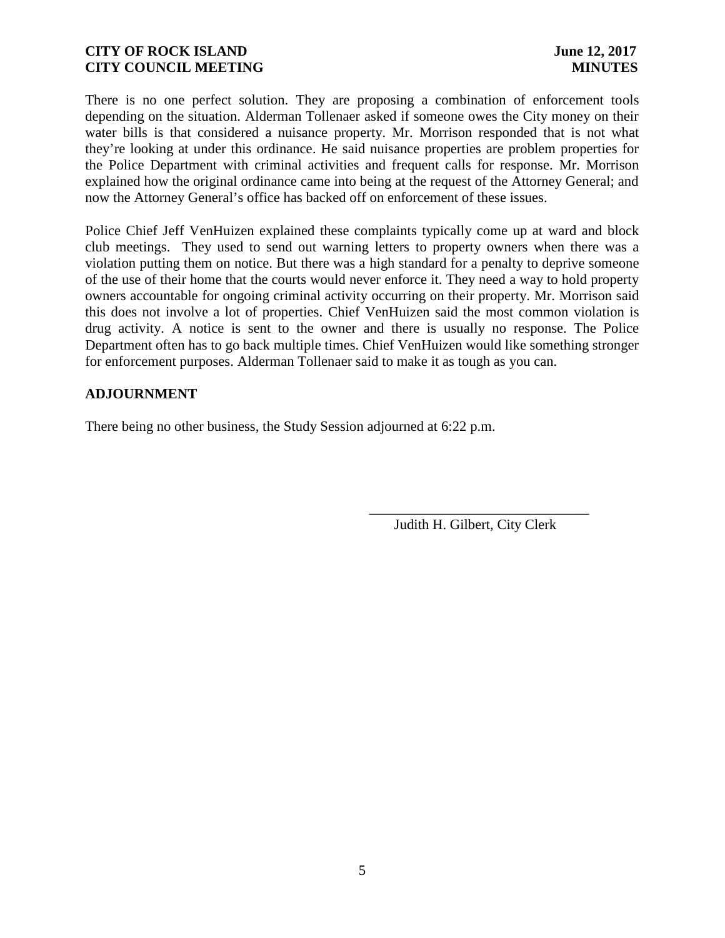There is no one perfect solution. They are proposing a combination of enforcement tools depending on the situation. Alderman Tollenaer asked if someone owes the City money on their water bills is that considered a nuisance property. Mr. Morrison responded that is not what they're looking at under this ordinance. He said nuisance properties are problem properties for the Police Department with criminal activities and frequent calls for response. Mr. Morrison explained how the original ordinance came into being at the request of the Attorney General; and now the Attorney General's office has backed off on enforcement of these issues.

Police Chief Jeff VenHuizen explained these complaints typically come up at ward and block club meetings. They used to send out warning letters to property owners when there was a violation putting them on notice. But there was a high standard for a penalty to deprive someone of the use of their home that the courts would never enforce it. They need a way to hold property owners accountable for ongoing criminal activity occurring on their property. Mr. Morrison said this does not involve a lot of properties. Chief VenHuizen said the most common violation is drug activity. A notice is sent to the owner and there is usually no response. The Police Department often has to go back multiple times. Chief VenHuizen would like something stronger for enforcement purposes. Alderman Tollenaer said to make it as tough as you can.

# **ADJOURNMENT**

There being no other business, the Study Session adjourned at 6:22 p.m.

\_\_\_\_\_\_\_\_\_\_\_\_\_\_\_\_\_\_\_\_\_\_\_\_\_\_\_\_\_\_\_ Judith H. Gilbert, City Clerk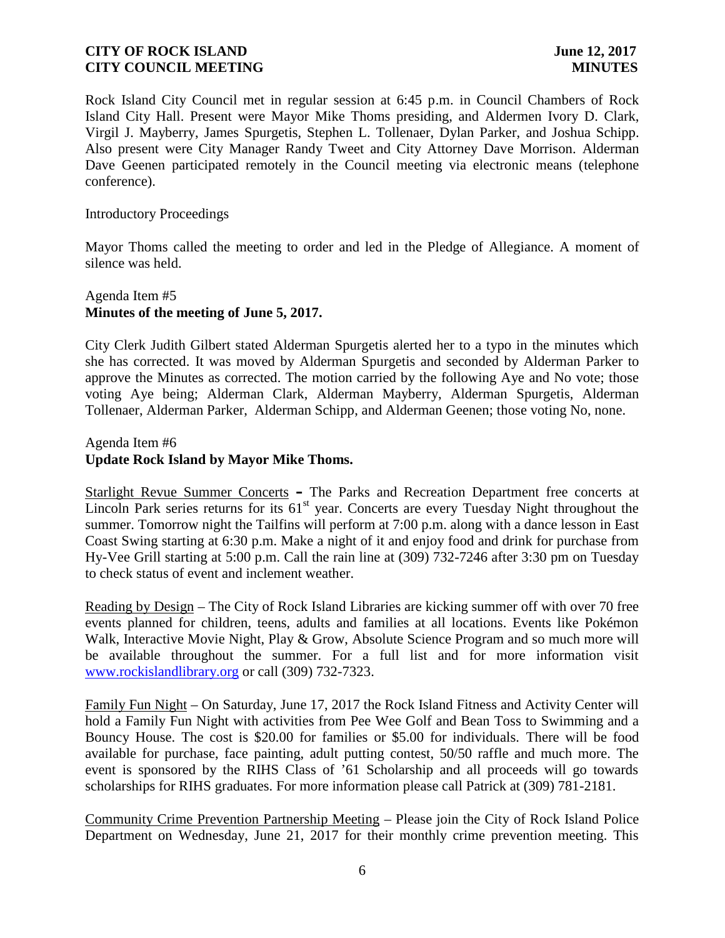Rock Island City Council met in regular session at 6:45 p.m. in Council Chambers of Rock Island City Hall. Present were Mayor Mike Thoms presiding, and Aldermen Ivory D. Clark, Virgil J. Mayberry, James Spurgetis, Stephen L. Tollenaer, Dylan Parker, and Joshua Schipp. Also present were City Manager Randy Tweet and City Attorney Dave Morrison. Alderman Dave Geenen participated remotely in the Council meeting via electronic means (telephone conference).

#### Introductory Proceedings

Mayor Thoms called the meeting to order and led in the Pledge of Allegiance. A moment of silence was held.

#### Agenda Item #5 **Minutes of the meeting of June 5, 2017.**

City Clerk Judith Gilbert stated Alderman Spurgetis alerted her to a typo in the minutes which she has corrected. It was moved by Alderman Spurgetis and seconded by Alderman Parker to approve the Minutes as corrected. The motion carried by the following Aye and No vote; those voting Aye being; Alderman Clark, Alderman Mayberry, Alderman Spurgetis, Alderman Tollenaer, Alderman Parker, Alderman Schipp, and Alderman Geenen; those voting No, none.

#### Agenda Item #6 **Update Rock Island by Mayor Mike Thoms.**

Starlight Revue Summer Concerts **–** The Parks and Recreation Department free concerts at Lincoln Park series returns for its  $61<sup>st</sup>$  year. Concerts are every Tuesday Night throughout the summer. Tomorrow night the Tailfins will perform at 7:00 p.m. along with a dance lesson in East Coast Swing starting at 6:30 p.m. Make a night of it and enjoy food and drink for purchase from Hy-Vee Grill starting at 5:00 p.m. Call the rain line at (309) 732-7246 after 3:30 pm on Tuesday to check status of event and inclement weather.

Reading by Design – The City of Rock Island Libraries are kicking summer off with over 70 free events planned for children, teens, adults and families at all locations. Events like Pokémon Walk, Interactive Movie Night, Play & Grow, Absolute Science Program and so much more will be available throughout the summer. For a full list and for more information visit www.rockislandlibrary.org or call (309) 732-7323.

Family Fun Night – On Saturday, June 17, 2017 the Rock Island Fitness and Activity Center will hold a Family Fun Night with activities from Pee Wee Golf and Bean Toss to Swimming and a Bouncy House. The cost is \$20.00 for families or \$5.00 for individuals. There will be food available for purchase, face painting, adult putting contest, 50/50 raffle and much more. The event is sponsored by the RIHS Class of '61 Scholarship and all proceeds will go towards scholarships for RIHS graduates. For more information please call Patrick at (309) 781-2181.

Community Crime Prevention Partnership Meeting – Please join the City of Rock Island Police Department on Wednesday, June 21, 2017 for their monthly crime prevention meeting. This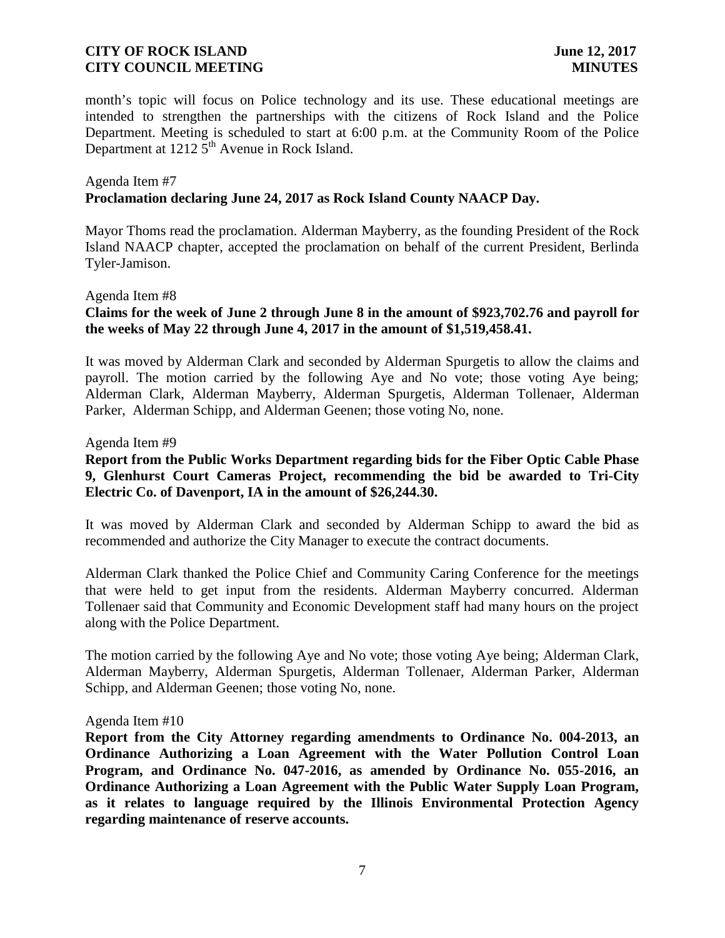month's topic will focus on Police technology and its use. These educational meetings are intended to strengthen the partnerships with the citizens of Rock Island and the Police Department. Meeting is scheduled to start at 6:00 p.m. at the Community Room of the Police Department at  $1212\overline{5}^{th}$  Avenue in Rock Island.

#### Agenda Item #7 **Proclamation declaring June 24, 2017 as Rock Island County NAACP Day.**

Mayor Thoms read the proclamation. Alderman Mayberry, as the founding President of the Rock Island NAACP chapter, accepted the proclamation on behalf of the current President, Berlinda Tyler-Jamison.

#### Agenda Item #8

# **Claims for the week of June 2 through June 8 in the amount of \$923,702.76 and payroll for the weeks of May 22 through June 4, 2017 in the amount of \$1,519,458.41.**

It was moved by Alderman Clark and seconded by Alderman Spurgetis to allow the claims and payroll. The motion carried by the following Aye and No vote; those voting Aye being; Alderman Clark, Alderman Mayberry, Alderman Spurgetis, Alderman Tollenaer, Alderman Parker, Alderman Schipp, and Alderman Geenen; those voting No, none.

#### Agenda Item #9

# **Report from the Public Works Department regarding bids for the Fiber Optic Cable Phase 9, Glenhurst Court Cameras Project, recommending the bid be awarded to Tri-City Electric Co. of Davenport, IA in the amount of \$26,244.30.**

It was moved by Alderman Clark and seconded by Alderman Schipp to award the bid as recommended and authorize the City Manager to execute the contract documents.

Alderman Clark thanked the Police Chief and Community Caring Conference for the meetings that were held to get input from the residents. Alderman Mayberry concurred. Alderman Tollenaer said that Community and Economic Development staff had many hours on the project along with the Police Department.

The motion carried by the following Aye and No vote; those voting Aye being; Alderman Clark, Alderman Mayberry, Alderman Spurgetis, Alderman Tollenaer, Alderman Parker, Alderman Schipp, and Alderman Geenen; those voting No, none.

#### Agenda Item #10

**Report from the City Attorney regarding amendments to Ordinance No. 004-2013, an Ordinance Authorizing a Loan Agreement with the Water Pollution Control Loan Program, and Ordinance No. 047-2016, as amended by Ordinance No. 055-2016, an Ordinance Authorizing a Loan Agreement with the Public Water Supply Loan Program, as it relates to language required by the Illinois Environmental Protection Agency regarding maintenance of reserve accounts.**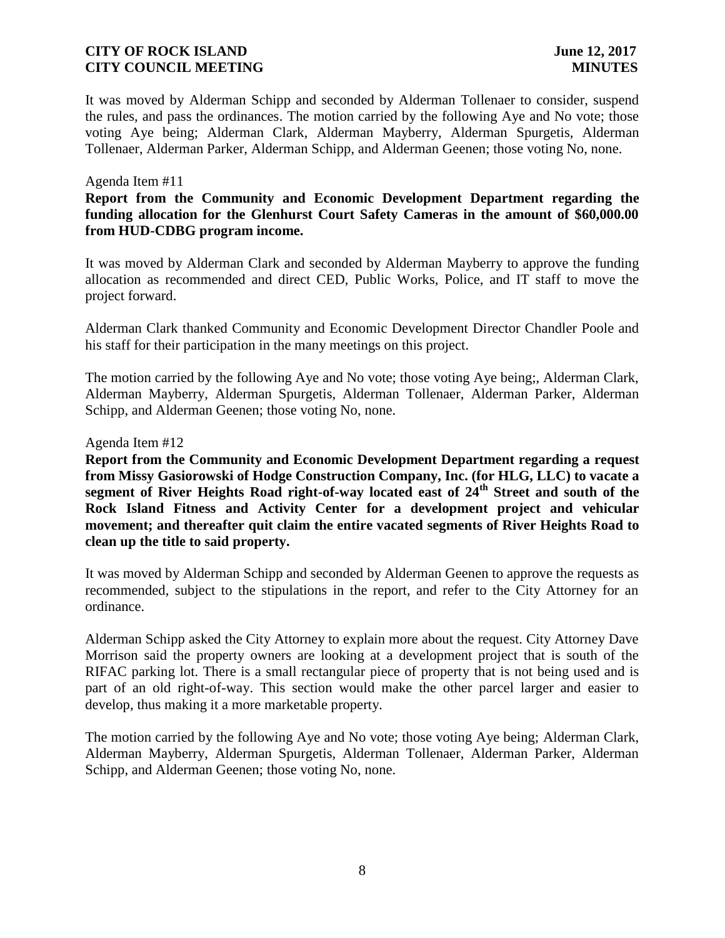It was moved by Alderman Schipp and seconded by Alderman Tollenaer to consider, suspend the rules, and pass the ordinances. The motion carried by the following Aye and No vote; those voting Aye being; Alderman Clark, Alderman Mayberry, Alderman Spurgetis, Alderman Tollenaer, Alderman Parker, Alderman Schipp, and Alderman Geenen; those voting No, none.

#### Agenda Item #11

# **Report from the Community and Economic Development Department regarding the funding allocation for the Glenhurst Court Safety Cameras in the amount of \$60,000.00 from HUD-CDBG program income.**

It was moved by Alderman Clark and seconded by Alderman Mayberry to approve the funding allocation as recommended and direct CED, Public Works, Police, and IT staff to move the project forward.

Alderman Clark thanked Community and Economic Development Director Chandler Poole and his staff for their participation in the many meetings on this project.

The motion carried by the following Aye and No vote; those voting Aye being;, Alderman Clark, Alderman Mayberry, Alderman Spurgetis, Alderman Tollenaer, Alderman Parker, Alderman Schipp, and Alderman Geenen; those voting No, none.

#### Agenda Item #12

**Report from the Community and Economic Development Department regarding a request from Missy Gasiorowski of Hodge Construction Company, Inc. (for HLG, LLC) to vacate a segment of River Heights Road right-of-way located east of 24th Street and south of the Rock Island Fitness and Activity Center for a development project and vehicular movement; and thereafter quit claim the entire vacated segments of River Heights Road to clean up the title to said property.**

It was moved by Alderman Schipp and seconded by Alderman Geenen to approve the requests as recommended, subject to the stipulations in the report, and refer to the City Attorney for an ordinance.

Alderman Schipp asked the City Attorney to explain more about the request. City Attorney Dave Morrison said the property owners are looking at a development project that is south of the RIFAC parking lot. There is a small rectangular piece of property that is not being used and is part of an old right-of-way. This section would make the other parcel larger and easier to develop, thus making it a more marketable property.

The motion carried by the following Aye and No vote; those voting Aye being; Alderman Clark, Alderman Mayberry, Alderman Spurgetis, Alderman Tollenaer, Alderman Parker, Alderman Schipp, and Alderman Geenen; those voting No, none.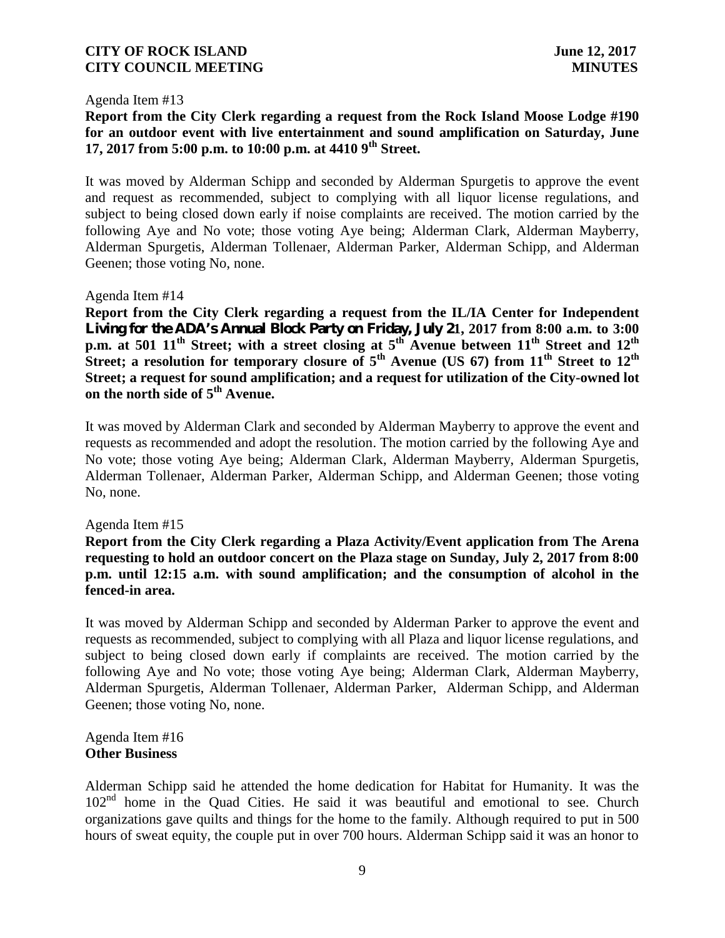Agenda Item #13

# **Report from the City Clerk regarding a request from the Rock Island Moose Lodge #190 for an outdoor event with live entertainment and sound amplification on Saturday, June 17, 2017 from 5:00 p.m. to 10:00 p.m. at 4410 9th Street.**

It was moved by Alderman Schipp and seconded by Alderman Spurgetis to approve the event and request as recommended, subject to complying with all liquor license regulations, and subject to being closed down early if noise complaints are received. The motion carried by the following Aye and No vote; those voting Aye being; Alderman Clark, Alderman Mayberry, Alderman Spurgetis, Alderman Tollenaer, Alderman Parker, Alderman Schipp, and Alderman Geenen; those voting No, none.

Agenda Item #14

**Report from the City Clerk regarding a request from the IL/IA Center for Independent Living for the ADA's Annual Block Party on Friday, July 21, 2017 from 8:00 a.m. to 3:00 p.m. at 501 11th Street; with a street closing at 5th Avenue between 11th Street and 12th Street; a resolution for temporary closure of 5th Avenue (US 67) from 11th Street to 12th Street; a request for sound amplification; and a request for utilization of the City-owned lot on the north side of 5th Avenue.**

It was moved by Alderman Clark and seconded by Alderman Mayberry to approve the event and requests as recommended and adopt the resolution. The motion carried by the following Aye and No vote; those voting Aye being; Alderman Clark, Alderman Mayberry, Alderman Spurgetis, Alderman Tollenaer, Alderman Parker, Alderman Schipp, and Alderman Geenen; those voting No, none.

Agenda Item #15

**Report from the City Clerk regarding a Plaza Activity/Event application from The Arena requesting to hold an outdoor concert on the Plaza stage on Sunday, July 2, 2017 from 8:00 p.m. until 12:15 a.m. with sound amplification; and the consumption of alcohol in the fenced-in area.**

It was moved by Alderman Schipp and seconded by Alderman Parker to approve the event and requests as recommended, subject to complying with all Plaza and liquor license regulations, and subject to being closed down early if complaints are received. The motion carried by the following Aye and No vote; those voting Aye being; Alderman Clark, Alderman Mayberry, Alderman Spurgetis, Alderman Tollenaer, Alderman Parker, Alderman Schipp, and Alderman Geenen; those voting No, none.

Agenda Item #16 **Other Business**

Alderman Schipp said he attended the home dedication for Habitat for Humanity. It was the  $102<sup>nd</sup>$  home in the Quad Cities. He said it was beautiful and emotional to see. Church organizations gave quilts and things for the home to the family. Although required to put in 500 hours of sweat equity, the couple put in over 700 hours. Alderman Schipp said it was an honor to